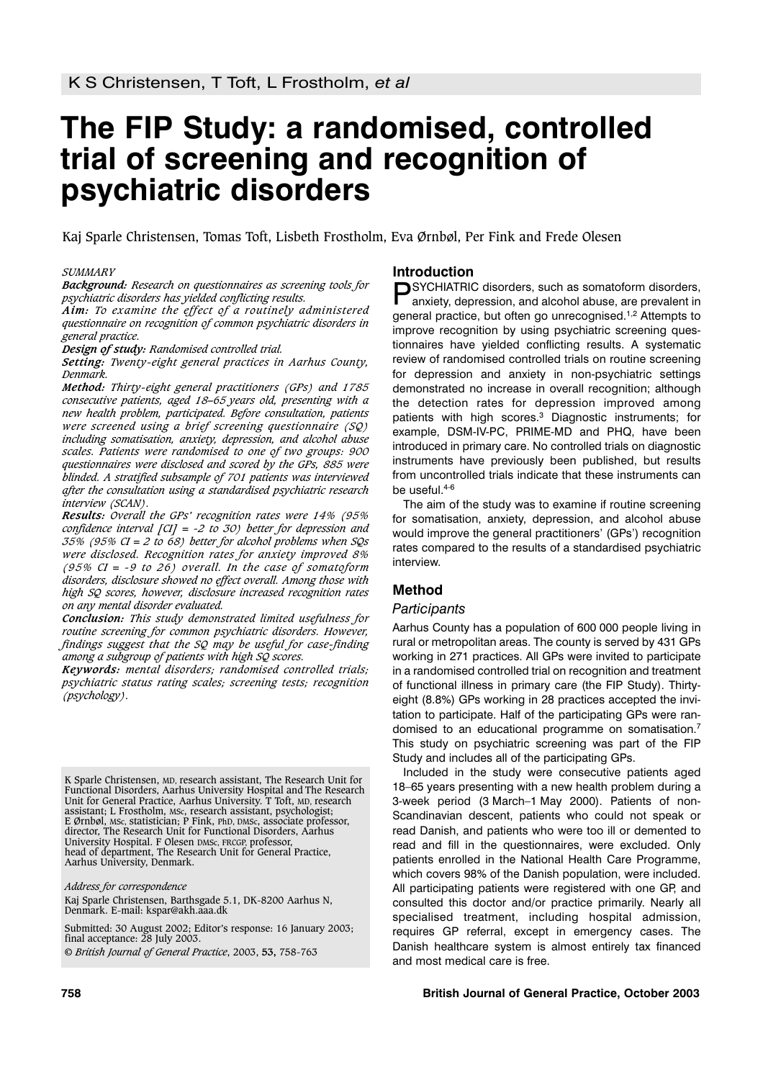# **The FIP Study: a randomised, controlled trial of screening and recognition of psychiatric disorders**

Kaj Sparle Christensen, Tomas Toft, Lisbeth Frostholm, Eva Ørnbøl, Per Fink and Frede Olesen

#### *SUMMARY*

*Background: Research on questionnaires as screening tools for psychiatric disorders has yielded conflicting results.*

*Aim: To examine the effect of a routinely administered questionnaire on recognition of common psychiatric disorders in general practice.*

*Design of study: Randomised controlled trial.*

*Setting: Twenty-eight general practices in Aarhus County, Denmark.*

*Method: Thirty-eight general practitioners (GPs) and 1785 consecutive patients, aged 18–65 years old, presenting with a new health problem, participated. Before consultation, patients were screened using a brief screening questionnaire (SQ) including somatisation, anxiety, depression, and alcohol abuse scales. Patients were randomised to one of two groups: 900 questionnaires were disclosed and scored by the GPs, 885 were blinded. A stratified subsample of 701 patients was interviewed after the consultation using a standardised psychiatric research interview (SCAN).*

*Results: Overall the GPs' recognition rates were 14% (95% confidence interval [CI] = -2 to 30) better for depression and 35% (95% CI = 2 to 68) better for alcohol problems when SQs were disclosed. Recognition rates for anxiety improved 8% (95% CI = -9 to 26) overall. In the case of somatoform disorders, disclosure showed no effect overall. Among those with high SQ scores, however, disclosure increased recognition rates on any mental disorder evaluated.*

*Conclusion: This study demonstrated limited usefulness for routine screening for common psychiatric disorders. However, findings suggest that the SQ may be useful for case-finding among a subgroup of patients with high SQ scores.*

*Keywords: mental disorders; randomised controlled trials; psychiatric status rating scales; screening tests; recognition (psychology).*

K Sparle Christensen, MD, research assistant, The Research Unit for Functional Disorders, Aarhus University Hospital and The Research Unit for General Practice, Aarhus University. T Toft, MD, research assistant; L Frostholm, MSc, research assistant, psychologist; E Ørnbøl, MSc, statistician; P Fink, PhD, DMSc, associate professor, director, The Research Unit for Functional Disorders, Aarhus University Hospital. F Olesen DMSc, FRCGP, professor, head of department, The Research Unit for General Practice, Aarhus University, Denmark.

*Address for correspondence*

Kaj Sparle Christensen, Barthsgade 5.1, DK-8200 Aarhus N, Denmark. E-mail: kspar@akh.aaa.dk

Submitted: 30 August 2002; Editor's response: 16 January 2003; final acceptance: 28 July 2003. © *British Journal of General Practice*, 2003, **53,** 758-763

#### **Introduction**

PSYCHIATRIC disorders, such as somatoform disorders, anxiety, depression, and alcohol abuse, are prevalent in general practice, but often go unrecognised.<sup>1,2</sup> Attempts to improve recognition by using psychiatric screening questionnaires have yielded conflicting results. A systematic review of randomised controlled trials on routine screening for depression and anxiety in non-psychiatric settings demonstrated no increase in overall recognition; although the detection rates for depression improved among patients with high scores.3 Diagnostic instruments; for example, DSM-IV-PC, PRIME-MD and PHQ, have been introduced in primary care. No controlled trials on diagnostic instruments have previously been published, but results from uncontrolled trials indicate that these instruments can be useful.4-6

The aim of the study was to examine if routine screening for somatisation, anxiety, depression, and alcohol abuse would improve the general practitioners' (GPs') recognition rates compared to the results of a standardised psychiatric interview.

# **Method**

#### *Participants*

Aarhus County has a population of 600 000 people living in rural or metropolitan areas. The county is served by 431 GPs working in 271 practices. All GPs were invited to participate in a randomised controlled trial on recognition and treatment of functional illness in primary care (the FIP Study). Thirtyeight (8.8%) GPs working in 28 practices accepted the invitation to participate. Half of the participating GPs were randomised to an educational programme on somatisation.7 This study on psychiatric screening was part of the FIP Study and includes all of the participating GPs.

Included in the study were consecutive patients aged 18–65 years presenting with a new health problem during a 3-week period (3 March–1 May 2000). Patients of non-Scandinavian descent, patients who could not speak or read Danish, and patients who were too ill or demented to read and fill in the questionnaires, were excluded. Only patients enrolled in the National Health Care Programme, which covers 98% of the Danish population, were included. All participating patients were registered with one GP, and consulted this doctor and/or practice primarily. Nearly all specialised treatment, including hospital admission, requires GP referral, except in emergency cases. The Danish healthcare system is almost entirely tax financed and most medical care is free.

#### **758 British Journal of General Practice, October 2003**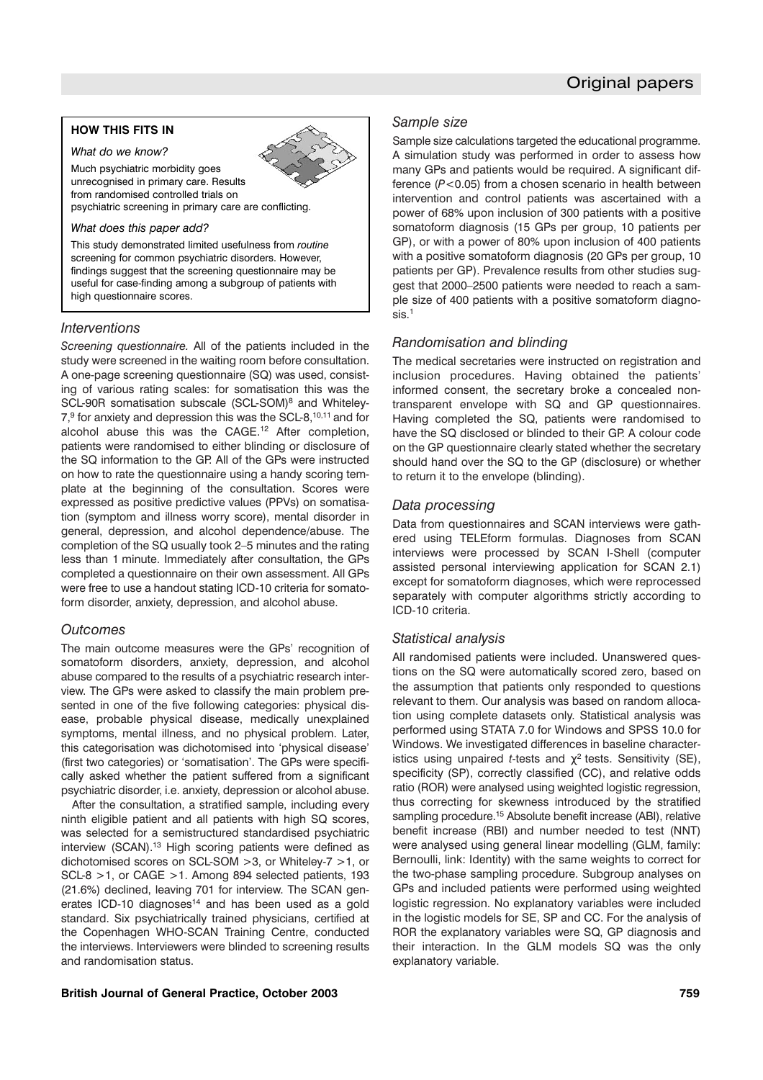# **HOW THIS FITS IN**

### *What do we know?*

Much psychiatric morbidity goes

unrecognised in primary care. Results from randomised controlled trials on

psychiatric screening in primary care are conflicting.

#### *What does this paper add?*

This study demonstrated limited usefulness from *routine* screening for common psychiatric disorders. However, findings suggest that the screening questionnaire may be useful for case-finding among a subgroup of patients with high questionnaire scores.

#### *Interventions*

*Screening questionnaire.* All of the patients included in the study were screened in the waiting room before consultation. A one-page screening questionnaire (SQ) was used, consisting of various rating scales: for somatisation this was the SCL-90R somatisation subscale (SCL-SOM)<sup>8</sup> and Whiteley-7.9 for anxiety and depression this was the SCL-8, <sup>10, 11</sup> and for alcohol abuse this was the CAGE.12 After completion, patients were randomised to either blinding or disclosure of the SQ information to the GP. All of the GPs were instructed on how to rate the questionnaire using a handy scoring template at the beginning of the consultation. Scores were expressed as positive predictive values (PPVs) on somatisation (symptom and illness worry score), mental disorder in general, depression, and alcohol dependence/abuse. The completion of the SQ usually took 2–5 minutes and the rating less than 1 minute. Immediately after consultation, the GPs completed a questionnaire on their own assessment. All GPs were free to use a handout stating ICD-10 criteria for somatoform disorder, anxiety, depression, and alcohol abuse.

#### *Outcomes*

The main outcome measures were the GPs' recognition of somatoform disorders, anxiety, depression, and alcohol abuse compared to the results of a psychiatric research interview. The GPs were asked to classify the main problem presented in one of the five following categories: physical disease, probable physical disease, medically unexplained symptoms, mental illness, and no physical problem. Later, this categorisation was dichotomised into 'physical disease' (first two categories) or 'somatisation'. The GPs were specifically asked whether the patient suffered from a significant psychiatric disorder, i.e. anxiety, depression or alcohol abuse.

After the consultation, a stratified sample, including every ninth eligible patient and all patients with high SQ scores, was selected for a semistructured standardised psychiatric interview (SCAN).<sup>13</sup> High scoring patients were defined as dichotomised scores on SCL-SOM >3, or Whiteley-7 >1, or SCL-8 >1, or CAGE >1. Among 894 selected patients, 193 (21.6%) declined, leaving 701 for interview. The SCAN generates ICD-10 diagnoses $14$  and has been used as a gold standard. Six psychiatrically trained physicians, certified at the Copenhagen WHO-SCAN Training Centre, conducted the interviews. Interviewers were blinded to screening results and randomisation status.

# *Sample size*

Sample size calculations targeted the educational programme. A simulation study was performed in order to assess how many GPs and patients would be required. A significant difference (*P*<0.05) from a chosen scenario in health between intervention and control patients was ascertained with a power of 68% upon inclusion of 300 patients with a positive somatoform diagnosis (15 GPs per group, 10 patients per GP), or with a power of 80% upon inclusion of 400 patients with a positive somatoform diagnosis (20 GPs per group, 10 patients per GP). Prevalence results from other studies suggest that 2000–2500 patients were needed to reach a sample size of 400 patients with a positive somatoform diagnosis<sup>1</sup>

# *Randomisation and blinding*

The medical secretaries were instructed on registration and inclusion procedures. Having obtained the patients' informed consent, the secretary broke a concealed nontransparent envelope with SQ and GP questionnaires. Having completed the SQ, patients were randomised to have the SQ disclosed or blinded to their GP. A colour code on the GP questionnaire clearly stated whether the secretary should hand over the SQ to the GP (disclosure) or whether to return it to the envelope (blinding).

# *Data processing*

Data from questionnaires and SCAN interviews were gathered using TELEform formulas. Diagnoses from SCAN interviews were processed by SCAN I-Shell (computer assisted personal interviewing application for SCAN 2.1) except for somatoform diagnoses, which were reprocessed separately with computer algorithms strictly according to ICD-10 criteria.

# *Statistical analysis*

All randomised patients were included. Unanswered questions on the SQ were automatically scored zero, based on the assumption that patients only responded to questions relevant to them. Our analysis was based on random allocation using complete datasets only. Statistical analysis was performed using STATA 7.0 for Windows and SPSS 10.0 for Windows. We investigated differences in baseline characteristics using unpaired *t*-tests and  $\chi^2$  tests. Sensitivity (SE), specificity (SP), correctly classified (CC), and relative odds ratio (ROR) were analysed using weighted logistic regression, thus correcting for skewness introduced by the stratified sampling procedure.<sup>15</sup> Absolute benefit increase (ABI), relative benefit increase (RBI) and number needed to test (NNT) were analysed using general linear modelling (GLM, family: Bernoulli, link: Identity) with the same weights to correct for the two-phase sampling procedure. Subgroup analyses on GPs and included patients were performed using weighted logistic regression. No explanatory variables were included in the logistic models for SE, SP and CC. For the analysis of ROR the explanatory variables were SQ, GP diagnosis and their interaction. In the GLM models SQ was the only explanatory variable.

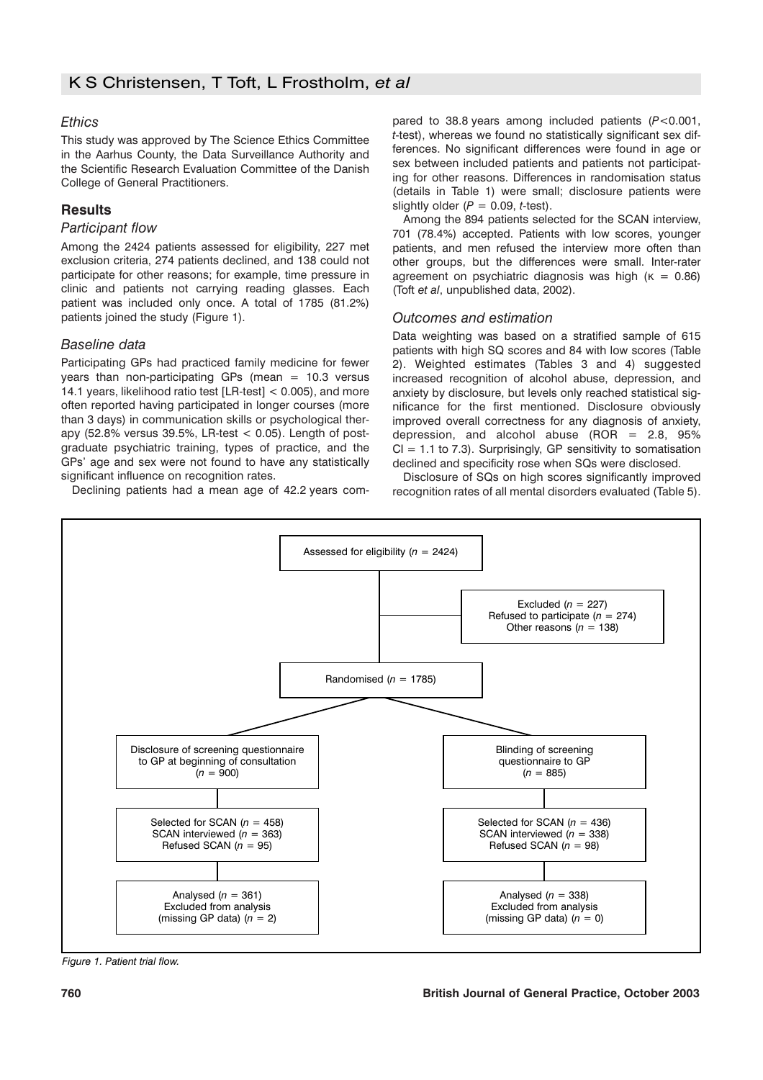# *Ethics*

This study was approved by The Science Ethics Committee in the Aarhus County, the Data Surveillance Authority and the Scientific Research Evaluation Committee of the Danish College of General Practitioners.

# **Results**

# *Participant flow*

Among the 2424 patients assessed for eligibility, 227 met exclusion criteria, 274 patients declined, and 138 could not participate for other reasons; for example, time pressure in clinic and patients not carrying reading glasses. Each patient was included only once. A total of 1785 (81.2%) patients joined the study (Figure 1).

# *Baseline data*

Participating GPs had practiced family medicine for fewer years than non-participating GPs (mean  $= 10.3$  versus 14.1 years, likelihood ratio test [LR-test] < 0.005), and more often reported having participated in longer courses (more than 3 days) in communication skills or psychological therapy (52.8% versus 39.5%, LR-test  $<$  0.05). Length of postgraduate psychiatric training, types of practice, and the GPs' age and sex were not found to have any statistically significant influence on recognition rates.

Declining patients had a mean age of 42.2 years com-

pared to 38.8 years among included patients (*P*<0.001, *t*-test), whereas we found no statistically significant sex differences. No significant differences were found in age or sex between included patients and patients not participating for other reasons. Differences in randomisation status (details in Table 1) were small; disclosure patients were slightly older  $(P = 0.09, t-test)$ .

Among the 894 patients selected for the SCAN interview, 701 (78.4%) accepted. Patients with low scores, younger patients, and men refused the interview more often than other groups, but the differences were small. Inter-rater agreement on psychiatric diagnosis was high ( $\kappa = 0.86$ ) (Toft *et al*, unpublished data, 2002).

# *Outcomes and estimation*

Data weighting was based on a stratified sample of 615 patients with high SQ scores and 84 with low scores (Table 2). Weighted estimates (Tables 3 and 4) suggested increased recognition of alcohol abuse, depression, and anxiety by disclosure, but levels only reached statistical significance for the first mentioned. Disclosure obviously improved overall correctness for any diagnosis of anxiety, depression, and alcohol abuse  $(ROR = 2.8, 95\%)$  $CI = 1.1$  to 7.3). Surprisingly, GP sensitivity to somatisation declined and specificity rose when SQs were disclosed.

Disclosure of SQs on high scores significantly improved recognition rates of all mental disorders evaluated (Table 5).



*Figure 1. Patient trial flow.*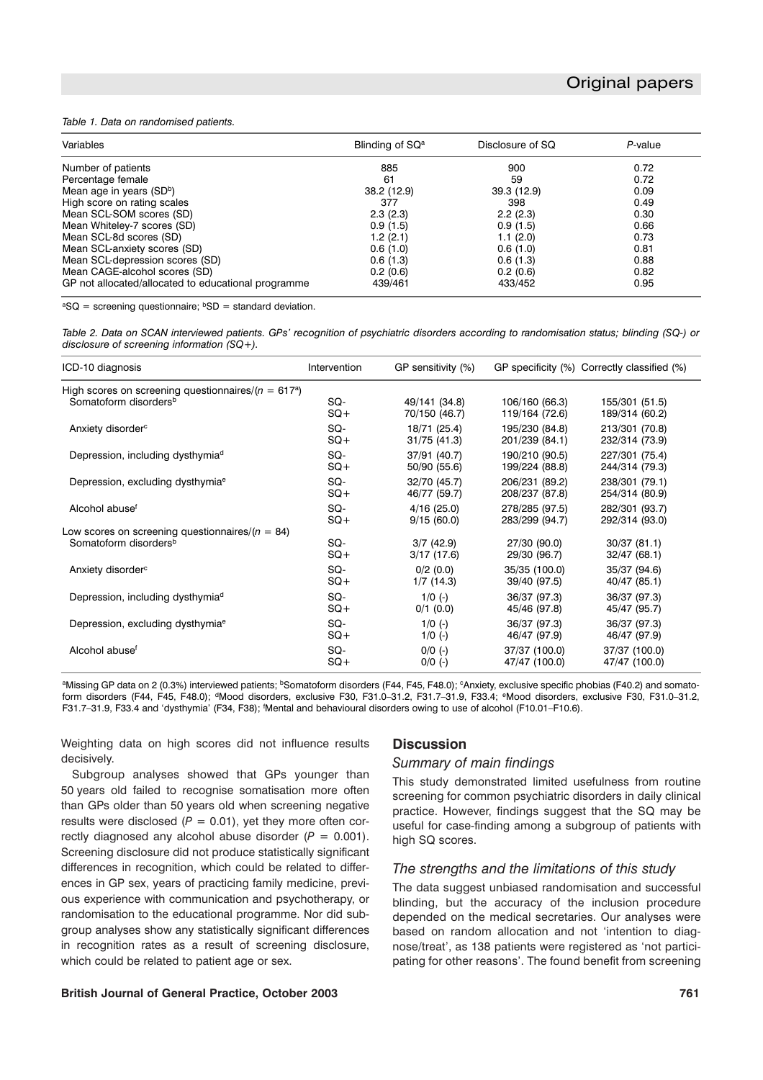#### *Table 1. Data on randomised patients.*

| Variables                                           | Blinding of SQ <sup>a</sup> | Disclosure of SQ | P-value |  |
|-----------------------------------------------------|-----------------------------|------------------|---------|--|
| Number of patients                                  | 885                         | 900              | 0.72    |  |
| Percentage female                                   | 61                          | 59               | 0.72    |  |
| Mean age in years (SDb)                             | 38.2 (12.9)                 | 39.3 (12.9)      | 0.09    |  |
| High score on rating scales                         | 377                         | 398              | 0.49    |  |
| Mean SCL-SOM scores (SD)                            | 2.3(2.3)                    | 2.2(2.3)         | 0.30    |  |
| Mean Whiteley-7 scores (SD)                         | 0.9(1.5)                    | 0.9(1.5)         | 0.66    |  |
| Mean SCL-8d scores (SD)                             | 1.2(2.1)                    | 1.1(2.0)         | 0.73    |  |
| Mean SCL-anxiety scores (SD)                        | 0.6(1.0)                    | 0.6(1.0)         | 0.81    |  |
| Mean SCL-depression scores (SD)                     | 0.6(1.3)                    | 0.6(1.3)         | 0.88    |  |
| Mean CAGE-alcohol scores (SD)                       | 0.2(0.6)                    | 0.2(0.6)         | 0.82    |  |
| GP not allocated/allocated to educational programme | 439/461                     | 433/452          | 0.95    |  |

 ${}^{a}SO$  = screening questionnaire:  ${}^{b}SD$  = standard deviation.

*Table 2. Data on SCAN interviewed patients. GPs' recognition of psychiatric disorders according to randomisation status; blinding (SQ-) or disclosure of screening information (SQ+).*

| ICD-10 diagnosis                                       | Intervention | GP sensitivity (%) |                | GP specificity (%) Correctly classified (%) |
|--------------------------------------------------------|--------------|--------------------|----------------|---------------------------------------------|
| High scores on screening questionnaires/ $(n = 617^a)$ |              |                    |                |                                             |
| Somatoform disorders <sup>b</sup>                      | SQ-          | 49/141 (34.8)      | 106/160 (66.3) | 155/301 (51.5)                              |
|                                                        | $SQ+$        | 70/150 (46.7)      | 119/164 (72.6) | 189/314 (60.2)                              |
| Anxiety disorder <sup>c</sup>                          | SQ-          | 18/71 (25.4)       | 195/230 (84.8) | 213/301 (70.8)                              |
|                                                        | $SO+$        | 31/75 (41.3)       | 201/239 (84.1) | 232/314 (73.9)                              |
| Depression, including dysthymiad                       | SQ-          | 37/91 (40.7)       | 190/210 (90.5) | 227/301 (75.4)                              |
|                                                        | $SQ+$        | 50/90 (55.6)       | 199/224 (88.8) | 244/314 (79.3)                              |
| Depression, excluding dysthymia <sup>e</sup>           | SQ-          | 32/70 (45.7)       | 206/231 (89.2) | 238/301 (79.1)                              |
|                                                        | $SQ+$        | 46/77 (59.7)       | 208/237 (87.8) | 254/314 (80.9)                              |
| Alcohol abuse <sup>f</sup>                             | SQ-          | 4/16(25.0)         | 278/285 (97.5) | 282/301 (93.7)                              |
|                                                        | $SQ+$        | 9/15(60.0)         | 283/299 (94.7) | 292/314 (93.0)                              |
| Low scores on screening questionnaires/ $(n = 84)$     | SQ-          | $3/7$ (42.9)       | 27/30 (90.0)   | 30/37(81.1)                                 |
| Somatoform disorders <sup>b</sup>                      | $SQ+$        | 3/17(17.6)         | 29/30 (96.7)   | 32/47 (68.1)                                |
| Anxiety disorder <sup>c</sup>                          | SQ-          | 0/2(0.0)           | 35/35 (100.0)  | 35/37 (94.6)                                |
|                                                        | $SQ+$        | 1/7(14.3)          | 39/40 (97.5)   | 40/47 (85.1)                                |
| Depression, including dysthymia <sup>d</sup>           | SQ-          | $1/0$ (-)          | 36/37 (97.3)   | 36/37 (97.3)                                |
|                                                        | $SQ+$        | $0/1$ (0.0)        | 45/46 (97.8)   | 45/47 (95.7)                                |
| Depression, excluding dysthymia <sup>e</sup>           | SQ-          | $1/0$ (-)          | 36/37 (97.3)   | 36/37 (97.3)                                |
|                                                        | $SQ+$        | $1/0$ (-)          | 46/47 (97.9)   | 46/47 (97.9)                                |
| Alcohol abuse <sup>f</sup>                             | SQ-          | $0/0$ (-)          | 37/37 (100.0)  | 37/37 (100.0)                               |
|                                                        | $SQ+$        | $0/0$ (-)          | 47/47 (100.0)  | 47/47 (100.0)                               |

<sup>a</sup>Missing GP data on 2 (0.3%) interviewed patients; <sup>b</sup>Somatoform disorders (F44, F45, F48.0); <sup>c</sup>Anxiety, exclusive specific phobias (F40.2) and somatoform disorders (F44, F45, F48.0); <sup>d</sup>Mood disorders, exclusive F30, F31.0-31.2, F31.7-31.9, F33.4; <sup>e</sup>Mood disorders, exclusive F30, F31.0-31.2, F31.7-31.9, F33.4 and 'dysthymia' (F34, F38); <sup>f</sup>Mental and behavioural disorders owing to use of alcohol (F10.01-F10.6).

Weighting data on high scores did not influence results decisively.

Subgroup analyses showed that GPs younger than 50 years old failed to recognise somatisation more often than GPs older than 50 years old when screening negative results were disclosed  $(P = 0.01)$ , yet they more often correctly diagnosed any alcohol abuse disorder  $(P = 0.001)$ . Screening disclosure did not produce statistically significant differences in recognition, which could be related to differences in GP sex, years of practicing family medicine, previous experience with communication and psychotherapy, or randomisation to the educational programme. Nor did subgroup analyses show any statistically significant differences in recognition rates as a result of screening disclosure, which could be related to patient age or sex.

#### **Discussion**

# *Summary of main findings*

This study demonstrated limited usefulness from routine screening for common psychiatric disorders in daily clinical practice. However, findings suggest that the SQ may be useful for case-finding among a subgroup of patients with high SQ scores.

# *The strengths and the limitations of this study*

The data suggest unbiased randomisation and successful blinding, but the accuracy of the inclusion procedure depended on the medical secretaries. Our analyses were based on random allocation and not 'intention to diagnose/treat', as 138 patients were registered as 'not participating for other reasons'. The found benefit from screening

#### **British Journal of General Practice, October 2003 761**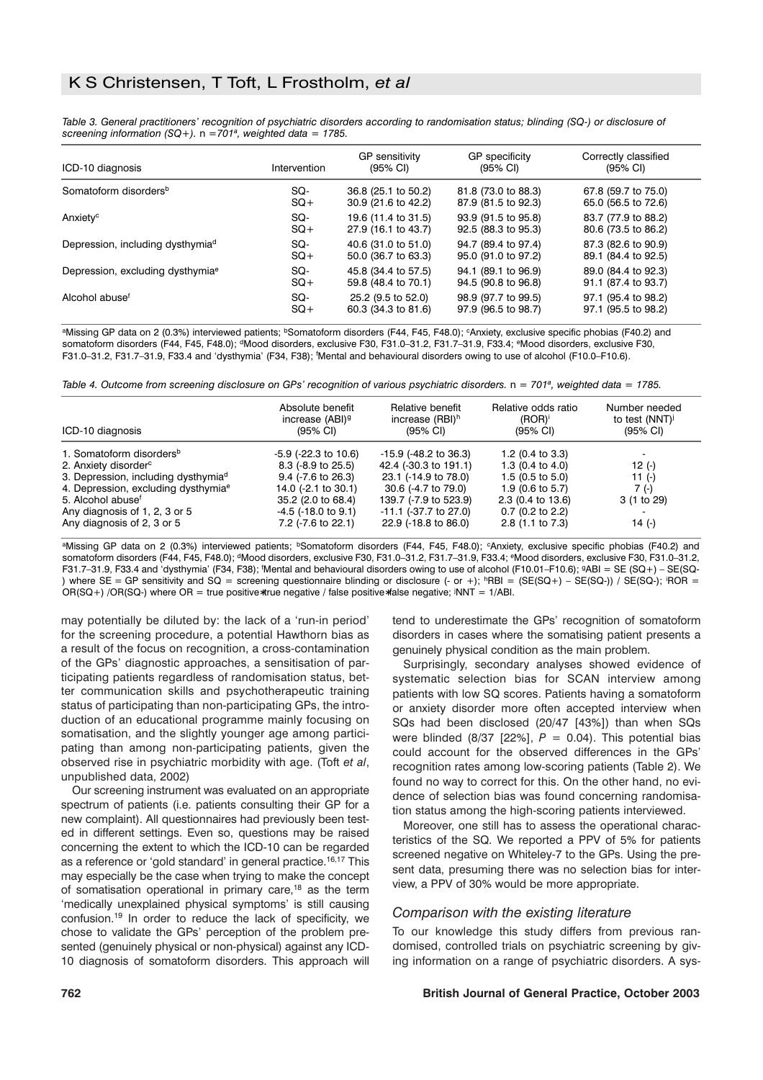*Table 3. General practitioners' recognition of psychiatric disorders according to randomisation status; blinding (SQ-) or disclosure of screening information (SQ+).* n *=701a, weighted data = 1785.*

| ICD-10 diagnosis                             | Intervention | GP sensitivity<br>$(95% \text{ Cl})$ | GP specificity<br>$(95% \text{ Cl})$ | Correctly classified<br>$(95% \text{ Cl})$ |
|----------------------------------------------|--------------|--------------------------------------|--------------------------------------|--------------------------------------------|
| Somatoform disorders <sup>b</sup>            | SQ-          | 36.8 (25.1 to 50.2)                  | 81.8 (73.0 to 88.3)                  | 67.8 (59.7 to 75.0)                        |
|                                              | $SO+$        | 30.9 (21.6 to 42.2)                  | 87.9 (81.5 to 92.3)                  | 65.0 (56.5 to 72.6)                        |
| Anxiety <sup>c</sup>                         | SQ-          | 19.6 (11.4 to 31.5)                  | 93.9 (91.5 to 95.8)                  | 83.7 (77.9 to 88.2)                        |
|                                              | $SO+$        | 27.9 (16.1 to 43.7)                  | 92.5 (88.3 to 95.3)                  | 80.6 (73.5 to 86.2)                        |
| Depression, including dysthymia <sup>d</sup> | SQ-          | 40.6 (31.0 to 51.0)                  | 94.7 (89.4 to 97.4)                  | 87.3 (82.6 to 90.9)                        |
|                                              | $SO+$        | 50.0 (36.7 to 63.3)                  | 95.0 (91.0 to 97.2)                  | 89.1 (84.4 to 92.5)                        |
| Depression, excluding dysthymia <sup>e</sup> | SQ-          | 45.8 (34.4 to 57.5)                  | 94.1 (89.1 to 96.9)                  | 89.0 (84.4 to 92.3)                        |
|                                              | $SO+$        | 59.8 (48.4 to 70.1)                  | 94.5 (90.8 to 96.8)                  | 91.1 (87.4 to 93.7)                        |
| Alcohol abuse <sup>f</sup>                   | SQ-          | 25.2 (9.5 to 52.0)                   | 98.9 (97.7 to 99.5)                  | 97.1 (95.4 to 98.2)                        |
|                                              | $SO+$        | 60.3 (34.3 to 81.6)                  | 97.9 (96.5 to 98.7)                  | 97.1 (95.5 to 98.2)                        |

aMissing GP data on 2 (0.3%) interviewed patients; bSomatoform disorders (F44, F45, F48.0); CAnxiety, exclusive specific phobias (F40.2) and somatoform disorders (F44, F45, F48.0); <sup>d</sup>Mood disorders, exclusive F30, F31.0-31.2, F31.7-31.9, F33.4; <sup>e</sup>Mood disorders, exclusive F30, F31.0–31.2, F31.7–31.9, F33.4 and 'dysthymia' (F34, F38); f Mental and behavioural disorders owing to use of alcohol (F10.0–F10.6).

*Table 4. Outcome from screening disclosure on GPs' recognition of various psychiatric disorders.*  $n = 701^a$ , weighted data = 1785.

| ICD-10 diagnosis                                | Absolute benefit<br>increase (ABI) <sup>9</sup><br>(95% CI) | Relative benefit<br>increase (RBI) <sup>h</sup><br>$(95% \text{ Cl})$ | Relative odds ratio<br>$(ROR)^{i}$<br>$(95% \text{ Cl})$ | Number needed<br>to test (NNT)<br>$(95% \text{ Cl})$ |
|-------------------------------------------------|-------------------------------------------------------------|-----------------------------------------------------------------------|----------------------------------------------------------|------------------------------------------------------|
| 1. Somatoform disorders <sup>b</sup>            | $-5.9$ ( $-22.3$ to $10.6$ )                                | $-15.9$ ( $-48.2$ to 36.3)                                            | 1.2 $(0.4 \text{ to } 3.3)$                              |                                                      |
| 2. Anxiety disorder <sup>c</sup>                | $8.3$ (-8.9 to 25.5)                                        | 42.4 (-30.3 to 191.1)                                                 | 1.3 $(0.4 \text{ to } 4.0)$                              | 12 $(-)$                                             |
| 3. Depression, including dysthymia <sup>d</sup> | $9.4$ (-7.6 to 26.3)                                        | 23.1 (-14.9 to 78.0)                                                  | $1.5(0.5)$ to $5.0$ )                                    | 11 $(-)$                                             |
| 4. Depression, excluding dysthymia <sup>e</sup> | 14.0 (-2.1 to 30.1)                                         | 30.6 (-4.7 to 79.0)                                                   | 1.9 $(0.6 \text{ to } 5.7)$                              | 7 (-)                                                |
| 5. Alcohol abuse <sup>f</sup>                   | 35.2 (2.0 to 68.4)                                          | 139.7 (-7.9 to 523.9)                                                 | $2.3$ (0.4 to 13.6)                                      | 3 (1 to 29)                                          |
| Any diagnosis of 1, 2, 3 or 5                   | $-4.5$ ( $-18.0$ to $9.1$ )                                 | $-11.1$ ( $-37.7$ to 27.0)                                            | $0.7$ (0.2 to 2.2)                                       |                                                      |
| Any diagnosis of 2, 3 or 5                      | 7.2 (-7.6 to 22.1)                                          | 22.9 (-18.8 to 86.0)                                                  | 2.8 (1.1 to 7.3)                                         | 14 $(-)$                                             |

aMissing GP data on 2 (0.3%) interviewed patients; bSomatoform disorders (F44, F45, F48.0); cAnxiety, exclusive specific phobias (F40.2) and somatoform disorders (F44, F45, F48.0); <sup>d</sup>Mood disorders, exclusive F30, F31.0-31.2, F31.7-31.9, F33.4; <sup>e</sup>Mood disorders, exclusive F30, F31.0-31.2, F31.7-31.9, F33.4 and 'dysthymia' (F34, F38); 'Mental and behavioural disorders owing to use of alcohol (F10.01-F10.6); 9ABI = SE (SQ+) - SE(SQ-) where SE = GP sensitivity and SQ = screening questionnaire blinding or disclosure (- or +); <sup>h</sup>RBI = (SE(SQ+) – SE(SQ-)) / SE(SQ-); iROR = OR(SQ+) /OR(SQ-) where OR = true positive∗true negative / false positive∗false negative; j NNT = 1/ABI.

may potentially be diluted by: the lack of a 'run-in period' for the screening procedure, a potential Hawthorn bias as a result of the focus on recognition, a cross-contamination of the GPs' diagnostic approaches, a sensitisation of participating patients regardless of randomisation status, better communication skills and psychotherapeutic training status of participating than non-participating GPs, the introduction of an educational programme mainly focusing on somatisation, and the slightly younger age among participating than among non-participating patients, given the observed rise in psychiatric morbidity with age. (Toft *et al*, unpublished data, 2002)

Our screening instrument was evaluated on an appropriate spectrum of patients (i.e. patients consulting their GP for a new complaint). All questionnaires had previously been tested in different settings. Even so, questions may be raised concerning the extent to which the ICD-10 can be regarded as a reference or 'gold standard' in general practice.<sup>16,17</sup> This may especially be the case when trying to make the concept of somatisation operational in primary care,18 as the term 'medically unexplained physical symptoms' is still causing confusion.19 In order to reduce the lack of specificity, we chose to validate the GPs' perception of the problem presented (genuinely physical or non-physical) against any ICD-10 diagnosis of somatoform disorders. This approach will tend to underestimate the GPs' recognition of somatoform disorders in cases where the somatising patient presents a genuinely physical condition as the main problem.

Surprisingly, secondary analyses showed evidence of systematic selection bias for SCAN interview among patients with low SQ scores. Patients having a somatoform or anxiety disorder more often accepted interview when SQs had been disclosed (20/47 [43%]) than when SQs were blinded  $(8/37 \t{22\%}]$ ,  $P = 0.04$ ). This potential bias could account for the observed differences in the GPs' recognition rates among low-scoring patients (Table 2). We found no way to correct for this. On the other hand, no evidence of selection bias was found concerning randomisation status among the high-scoring patients interviewed.

Moreover, one still has to assess the operational characteristics of the SQ. We reported a PPV of 5% for patients screened negative on Whiteley-7 to the GPs. Using the present data, presuming there was no selection bias for interview, a PPV of 30% would be more appropriate.

#### *Comparison with the existing literature*

To our knowledge this study differs from previous randomised, controlled trials on psychiatric screening by giving information on a range of psychiatric disorders. A sys-

#### **762 British Journal of General Practice, October 2003**